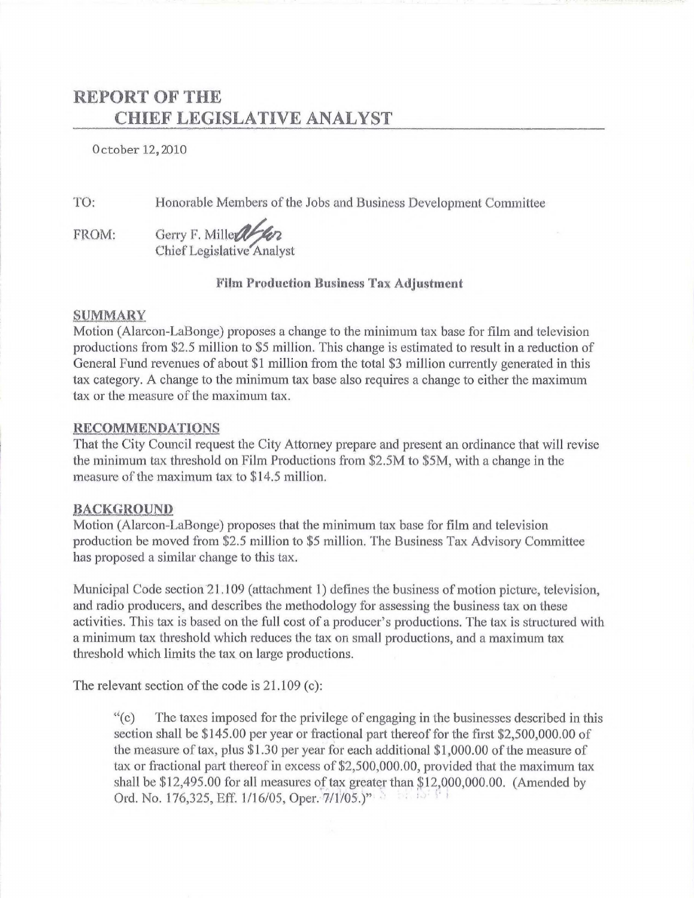## REPORT OF THE CHIEF LEGISLATIVE ANALYST

0 ctober 12,2010

TO:

Honorable Members of the Jobs and Business Development Committee

FROM: Gerry F. Mille abor Chief Legislative Analyst

#### **Film Production Business Tax Adjustment**

#### SUMMARY

Motion (Alarcon-LaBonge) proposes a change to the minimum tax base for film and television productions from \$2.5 million to \$5 million. This change is estimated to result in a reduction of General Fund revenues of about \$1 million from the total \$3 million currently generated in this tax category. A change to the minimum tax base also requires a change to either the maximum tax or the measure of the maximum tax.

#### RECOMMENDATIONS

That the City Council request the City Attorney prepare and present an ordinance that will revise the minimum tax threshold on Film Productions from \$2.5M to \$5M, with a change in the measure of the maximum tax to \$14.5 million.

#### **BACKGROUND**

Motion (Alarcon-LaBonge) proposes that the minimum tax base for film and television production be moved from \$2.5 million to \$5 million. The Business Tax Advisory Committee has proposed a similar change to this tax.

Municipal Code section 21.109 (attachment 1) defines the business of motion picture, television, and radio producers, and describes the methodology for assessing the business tax on these activities. This tax is based on the full cost of a producer's productions. The tax is structured with a minimum tax threshold which reduces the tax on small productions, and a maximum tax threshold which limits the tax on large productions.

The relevant section of the code is  $21.109$  (c):

''(c) The taxes imposed for the privilege of engaging in the businesses described in this section shall be \$145.00 per year or fractional part thereof for the first \$2,500,000.00 of the measure of tax, plus \$1.30 per year for each additional \$1,000.00 of the measure of tax or fractional part thereof in excess of \$2,500,000.00, provided that the maximum tax shall be  $$12,495.00$  for all measures of tax greater than  $$12,000,000.00$ . (Amended by Ord. No. 176,325, Eff. 1/16/05, Oper.  $7/1/05$ .)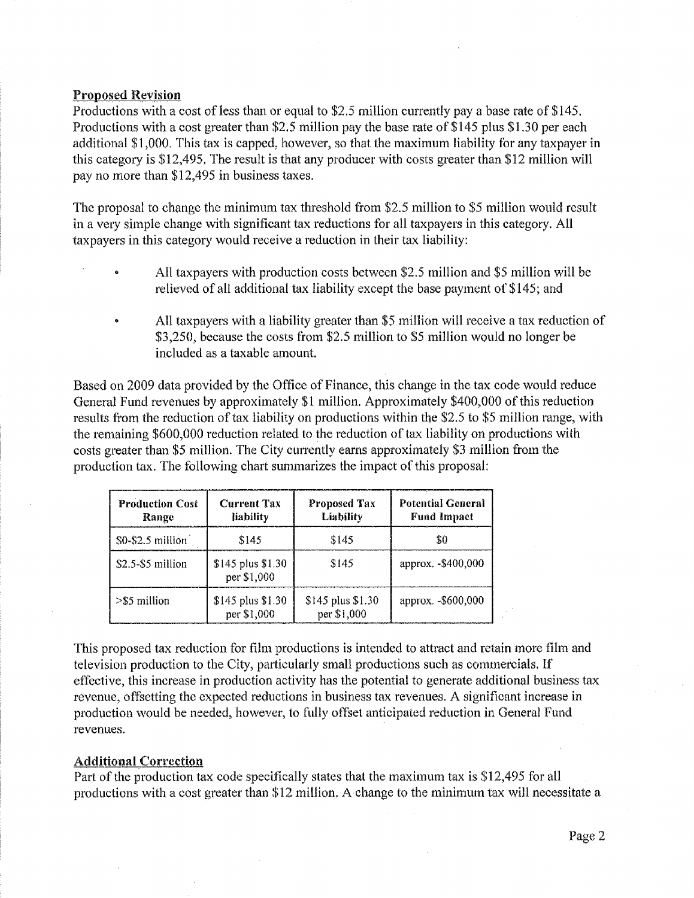#### Proposed Revision

Productions with a cost of less than or equal to \$2.5 million currently pay a base rate of \$145. Productions with a cost greater than \$2.5 million pay the base rate of \$145 plus \$1.30 per each additional \$1 )000. This tax is capped, however, so that the maximum liability for any taxpayer in this category is \$12,495. The result is that any producer with costs greater than \$12 million will pay no more than \$12,495 in business taxes.

The proposal to change the minimum tax threshold from \$2.5 million to \$5 million would result in a very simple change with significant tax reductions for all taxpayers in this category. All taxpayers in this category would receive a reduction in their tax liability:

- All taxpayers with production costs between \$2.5 million and \$5 million will be relieved of all additional tax liability except the base payment of \$145; and
- All taxpayers with a liability greater than \$5 million will receive a tax reduction of \$3,250, because the costs from \$2.5 million to \$5 million would no longer be included as a taxable amount.

Based on 2009 data provided by the Office of Finance, this change in the tax code would reduce General Fund revenues by approximately \$1 million. Approximately \$400,000 of this reduction results from the reduction of tax liability on productions within the \$2.5 to \$5 million range, with the remaining \$600,000 reduction related to the reduction of tax liability on productions with costs greater than \$5 million. The City currently earns approximately \$3 million from the production tax. The following chart summarizes the impact of this proposal:

| <b>Production Cost</b><br>Range | <b>Current Tax</b><br>liability  | Proposed Tax<br>Liability        | <b>Potential General</b><br><b>Fund Impact</b> |
|---------------------------------|----------------------------------|----------------------------------|------------------------------------------------|
| \$0-\$2.5 million               | \$145                            | \$145                            | 80                                             |
| $$2.5-$5$ million               | \$145 plus \$1.30<br>per \$1,000 | \$145                            | approx. - \$400,000                            |
| $>$ \$5 million                 | \$145 plus \$1.30<br>per \$1,000 | \$145 plus \$1.30<br>per \$1,000 | approx. - \$600,000                            |

This proposed tax reduction for film productions is intended to attract and retain more film and television production to the City, particularly small productions such as commercials. If effective, this increase in production activity has the potential to generate additional business tax revenue, offsetting the expected reductions in business tax revenues. A significant increase in production would be needed, however, to fully offset anticipated reduction in General Fund revenues.

#### Additional Correction

Pati of the production tax code specifically states that the maximum tax is \$12,495 for all productions with a cost greater than \$12 million. A change to the minimum tax will necessitate a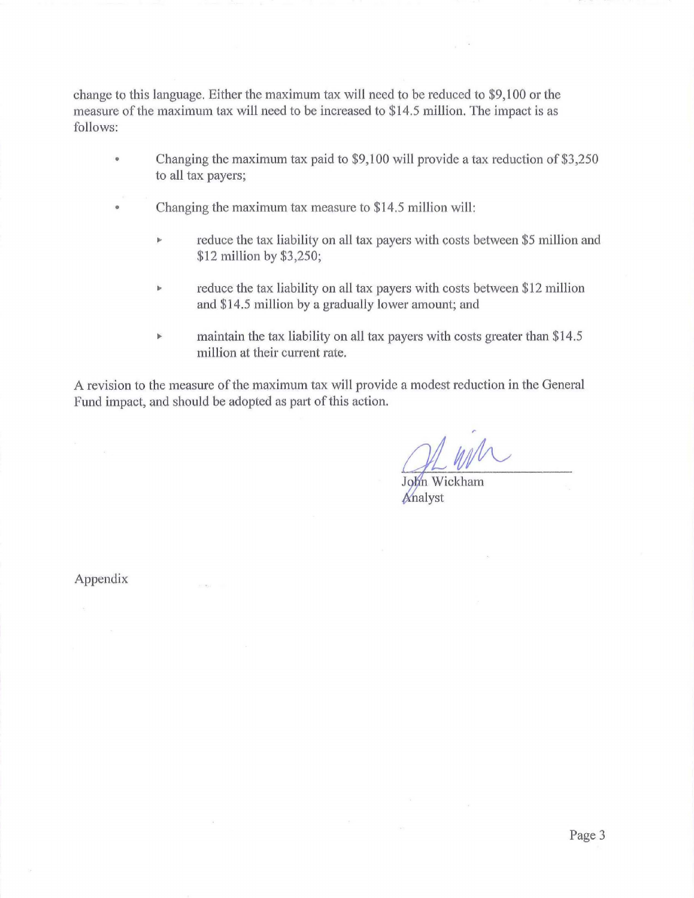change to this language. Either the maximum tax will need to be reduced to \$9,100 or the measure of the maximum tax will need to be increased to \$14.5 million. The impact is as follows:

- Changing the maximum tax paid to \$9,100 will provide a tax reduction of \$3,250 to all tax payers;
- Changing the maximum tax measure to \$14.5 million will:
	- $\triangleright$  reduce the tax liability on all tax payers with costs between \$5 million and \$12 million by \$3,250;
	- reduce the tax liability on all tax payers with costs between \$12 million  $\mathbf b$ and \$14.5 million by a gradually lower amount; and
	- $\blacktriangleright$ maintain the tax liability on all tax payers with costs greater than \$14.5 million at their current rate.

A revision to the measure of the maximum tax will provide a modest reduction in the General Fund impact, and should be adopted as part of this action.

 $\eta=1$ 

John Wickham Analyst

Appendix

 $100000$ 

 $\sim$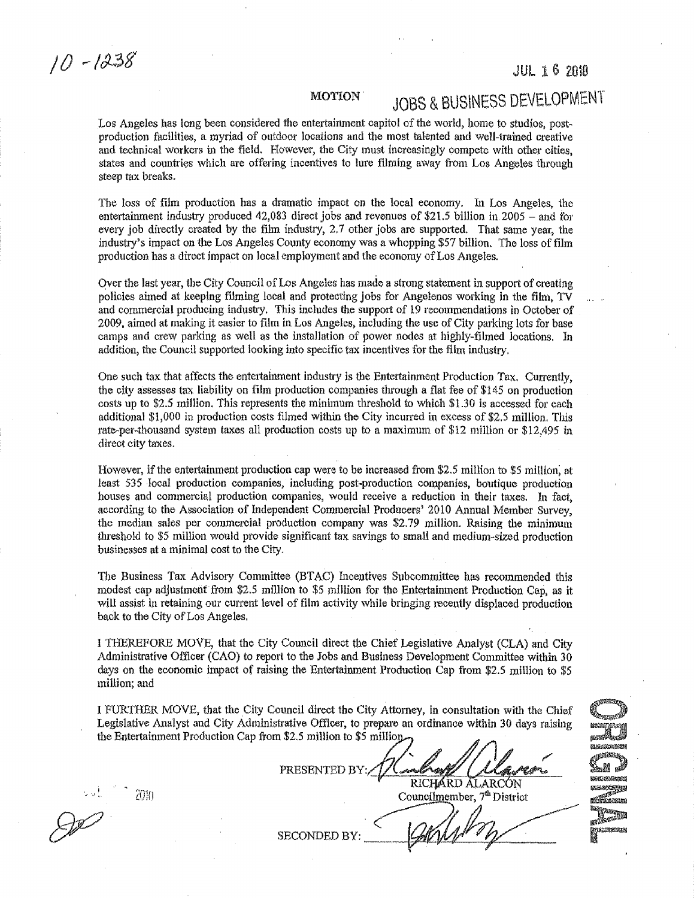$10 - 1238$ 

#### JUL 1 6 Z010

#### MOTION.

# JOBS & BUSINESS DEVELOPMENT

Los Angeles has long been considered the entertainment capitol of the world, home to studios, postproduction facilities, a myriad of outdoor locations and the most talented and well-trained creative and technical workers in the field. However, the City must increasingly compete with other cities, states and countries which are offering incentives to lure tilming away from Los Angeles through steep tax breaks.

The loss of film production has a dramatic impact on the local economy. In Los Angeles, the entertainment industry produced  $42,083$  direct jobs and revenues of \$21.5 billion in 2005 - and for every job directly created by the film industry, 2.7 other jobs are supported. That same year, the industry's impact on the Los Angeles County economy was a whopping \$57 billion. The loss of film production has a direct impact on local employment and the economy of Los Angeles.

Qver the last year, the City Council of Los Angeles has made a strong statement in support of creating policies aimed at keeping filming local and protecting jobs for Angelenos working in the film, TV and commercial producing industry. This includes the support of 19 recommendations in October of 2009, aimed at making it easier to film in Los Angeles, including the use of City parking lots for base camps and crew parking as well as the installation of power nodes at highly~filmed locations. In addition, the Council supported looking into specific tax incentives for the film industry.

One such tax that affects the entertainment industry is the Entertainment Production Tax. Currently, the city assesses tax liability on fllm production companies through a flat fee of \$145 on production costs up to \$2.5 million. This represents the minimum threshold to which \$1.30 is accessed for each additional \$1,000 in production costs filmed within the City incurred in excess of \$2.5 million. This rate-per-thousand system taxes all production costs up to a maximum of \$12 million or \$12,495 in direct city taxes.

However, if the entertainment production cap were to be increased from \$2.5 million to \$5 million; at least 535 local production companies, including post-production companies, boutique production houses and commercial production companies, would receive a reduction in their taxes. In fact, according to the Association of Independent Commercial Producers' 2010 Annual Member Survey, the median sales per commercial production company was \$2.79 million. Raising the minimum threshold to \$5 million would provide significant tax savings to small and medium-sized production businesses at a minimal cost to the City.

The Business Tax Advisory Committee (BTAC) Incentives Subcommittee has recommended this modest cap adjustment from \$2.5 million to \$5 million for the Entertainment Production Cap, as it will assist in retaining our current level of film activity while bringing recently displaced production back to the City of Los Angeles.

I THEREFORE MOVE, that the City Council direct the Chief Legislative Analyst (CLA) and City Administrative Officer (CAO) to report to the Jobs and Business Development Committee within 30 days on the economic impact of raising the Entertainment Production Cap from \$2.5 million to \$5 million; and

I FURTHER MOVE, that the City Council direct the City Attorney, in consultation with the Chief Legislative Analyst and City Administrative Officer, to prepare an ordinance within 30 days raising the Entertainment Production Cap from \$2.5 million to \$5 million.

PRESENTED BY:// Comparing CLC

**CLASSICATE SERI** . relat .<br>ama Ma .<br>Kabupaten Berna municipy of elframa er/Andrew<br>Finansense<br>M

{:()~() Councilmember, 7lhDistrict

 $\overline{\mathcal{C}}$ SECONDED BY: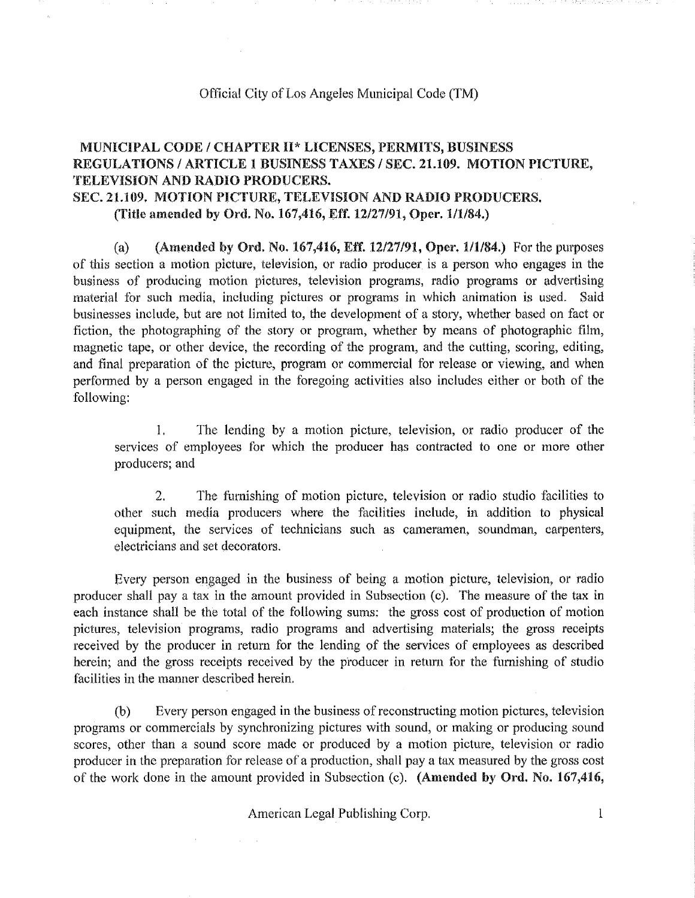#### Official City of Los Angeles Municipal Code (TM)

### MUNICIPAL CODE / CHAPTER II\* LICENSES, PERMITS, BUSINESS REGULATIONS / ARTICLE 1 BUSINESS TAXES / SEC. 21.109. MOTION PICTURE, TELEVISION AND RADIO PRODUCERS. SEC. 21.109. MOTION PICTURE, TELEVISION AND RADIO PRODUCERS. (Title amended by Ord. No. 167,416, Eff. 12/27/91, Oper. 1/1/84.)

(a) (Amended by Ord. No. 167,416, Eff. 12/27/91, Oper.  $1/1/84$ .) For the purposes of this section a motion picture, television, or radio producer is a person who engages in the business of producing motion pictures, television programs, radio programs or advertising material for such media, including pictures or programs in which animation is used. Said businesses include, but are not limited to, the development of a story, whether based on fact or fiction, the photographing of the story or program, whether by means of photographic film, magnetic tape, or other device, the recording of the program, and the cutting, scoring, editing, and final preparation of the picture, program or commercial for release or viewing, and when performed by a person engaged in the foregoing activities also includes either or both of the following:

1. The lending by a motion picture, television, or radio producer of the services of employees for which the producer has contracted to one or more other producers; and

2. The fumishlng of motion picture, television or radio studio facilities to other such media producers where the facilities include, in addition to physical equipment, the services of technicians such as cameramen, soundman, carpenters, electricians and set decorators.

Every person engaged in the business of being a motion picture, television, or radio producer shall pay a tax in the amount provided in Subsection (c). The measure of the tax in each instance shall be the total of the following sums: the gross cost of production of motion pictures, television programs, radio programs and advertising materials; the gross receipts received by the producer in return for the lending of the services of employees as described herein; and the gross receipts received by the producer in return for the furnishing of studio facilities in the manner described herein.

(b) Every person engaged in the business of reconstructing motion pictures, television programs or commercials by synchronizing pictures with sound, or making or producing sound scores, other than a sound score made or produced by a motion picture, television or radio producer in the preparation for release of a production, shall pay a tax measured by the gross cost of the work done in the amount provided in Subsection (c). (Amended by Ord. No. 167,416,

American Legal Publishing Corp. 1